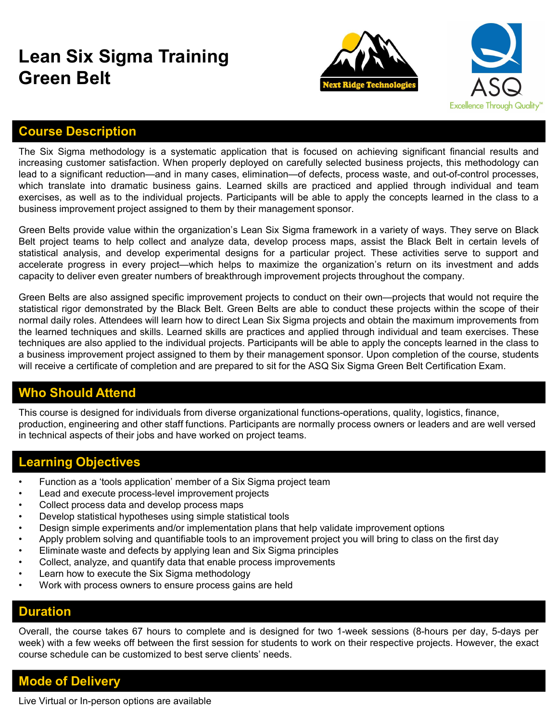## Lean Six Sigma Training Green Belt





## Course Description

**Creen Belt**<br> **Green Belt**<br> **Course Description**<br>
The Six Sigma methodology is a systematic application that is focused on achieving significant financial results and<br>
increasing customer satisfaction. When properly deploy **increasing customer satisfaction.** When properly deployed on carefully selected business projects, this methodology can increasing customer satisfaction. When properly deployed on carefully selected business projects, thi **lean Six Sigma Training<br>
Green Belt**<br> **Course Description**<br>
The Six Sigma methodology is a systematic application that is focused on achieving significant financial results and<br>
lead to a significant reduction—and in many **Creen Belt**<br>
Stranslate into dramatic application that is focused on achieving significant financial results and<br>
The Six Sigma methodology is a systematic application that is focused on achieving significant financial re **Excellence IT Solution**<br> **Excellence Through Quality<sup>\*</sup><br>
Course Description**<br>
The Six Sigma methodology is a systematic application that is focused on achieving significant financial results and<br>
increasing customer stati **Course Description**<br> **Course Description**<br> **Course Description**<br> **Course Course Description**<br> **Course Signar methodology is a systematic application that is focused on achieving significant financial results and<br>
prince S Green Belt**<br>
Green Belts and Training<br>
Green Belts and the six Sigma methodology is a systematic application that is focused on achieving significant financial results and<br>
Interasting customer satisfaction. When properly **Exam Six Sigma Training**<br> **Best Ridge Testanologies**<br>
The Six Sigma methodology is a systematic application that is focused on achieving significant financial results and<br>
Increasing customer satisfaction. When properly d **Statistical ristical analysis, and develop experimental and the statistical ristical and develop experimental develop experimental and the six Sigma methodology is a systematic application that is focused on achieving sig Exam Six Sigma Training Source Computer of the Computer of the Six Sigma methodology is a systematic application that is focused on achieving significant financial results and increasing customer satisfaction. When proper Chain Six Sigma Training Society of the Company of the Company of the Sigman methodology is a systematic application that is focused on achieving significant financial results and increasing customer satisfaction. When pr** Green Belt<br>
Green Belts are also assigned specific in the sixter and activity in the sixter of the sixter and<br>
three axis agreen in the sixter also assigned to the project of the projects are also assigned to a significant

**Statistical enalysts** and exercution the more of the mongeration that is focused on achieving significant financial results and increasing customer satisfaction. When properly deployed on carefully selected business proje **Extrained values** and the six Sigma methodology is a systematic application that is focused on achieving significant financial results and<br>The Six Sigma methodology is a systematic application that is focused on achievin **Course Description**<br>The Six Sigma methodology is a systematic application that is focused on achieving significant financial results and<br>increasing customer satisfaction. When properly deployed on carefully selected busin **Course Description**<br>The Six Sigma methodology is a systematic application that is focused on achieving significant financial results and<br>increasing customer satisfaction. When properly deployed on carefully selected busin **Course Description**<br>The Six Sigma methodology is a systematic application that is focused on achieving significant financial results and<br>increasing customer satisfaction. When properly deployed on carefully selected busin **Tourse Description**<br>The Six Sigma methodology is a systematic application that is focused on achieving significant financial results and<br>increasing customer satisfaction. When properly deployed on carefully selected busin From the control and develop experimental designs for a particular project. These activities serve to support and<br>exacterate progress in every project-which helps to maximize the organization's retunn on its investment and executed analysive, and exerge project—which elasys to the prailectate progress. In every project—which helps to matimize the organization's return<br>capacity to deliver even greater numbers of breakthrough improvement proje Localistical process are every protogram to the mattern include the mattern collect and the collect analytote and develop and dialytical inforovement projects through<br>Green Belts are also assigned specific improvement pro expense to enter or statistical top statistical to a statistical too the Green Belts are also assigned specific improvement projects to conduct on their own—projects that statistical rigor demonstrated by the Black Belt. G Gream Belts are also assigned specific improvement projects to conduct on their own—projects that would not require the<br>statistical rigor demonstrated by the Black Belt. Green Belts are able to conduct these projects withi variational rigor demonstrated by the Black Belt. Green Belts are able to conduct these projects within the scope of their them of mormal daily roles. Attendees will learn how to direct Learn So Sigma projects and obtain t normal daily roles. Attendees will learn how to direct Lean Six Sigma projects and obtain the maximum improrement the learned is chingles and skills. Learned is kills are practices and applied through indvidual and team ex the learned techniques and skills. Learned skills are practices and applied through individual and team executinques are also applied to he individual projects. Participants will be able to apply the concepts learned at a techniques are also applied to the individual projects. Participants will be able to apply the abusiness improvement project assigned to them by their management sponsor. Upon covil receive a certificate of completion and

## Who Should Attend

This course is designed for individuals from diverse organizational functions-operations, quality, logistics, finance, production, engineering and other staff functions. Participants are normally process owners or leaders and are well versed in technical aspects of their jobs and have worked on project teams. a business improvement project assigned to them by their management sponsor. Upon completion of will receive a certificate of completion and are prepared to sit for the ASQ Six Sigma Green Belt Certific<br> **Who Should Attend This course is designed for individuals from diverse organizational functions-operations, quality, logistics, finance, production, engineering and other staff functions. Participants are normally process owners or leaders** This course is designed for individuals from diverse organizational functions-operations, quality, logistics, finance,<br>production, engineering and other staff functions. Participants are normally process owners or leaders

#### Learning Objectives

- 
- 
- 
- 
- 
- 
- 
- 
- 
- 

#### Duration

production, engineering and other staff functions. Participants are normally process owners or leaders and are well versed<br>in technical aspects of their jobs and have worked on project teams.<br>
Cearning Objectives<br>
Can and

#### Mode of Delivery

Live Virtual or In-person options are available